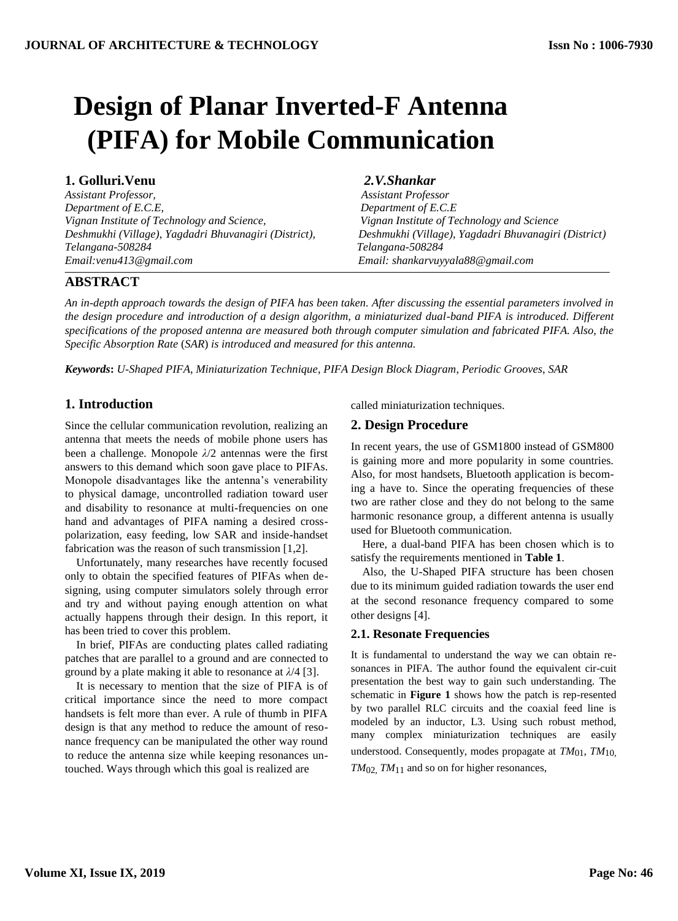# **Design of Planar Inverted-F Antenna (PIFA) for Mobile Communication**

# **1. Golluri.Venu** *2.V.Shankar*

*Assistant Professor, Assistant Professor Department of E.C.E, Department of E.C.E Vignan Institute of Technology and Science, Vignan Institute of Technology and Science Deshmukhi (Village), Yagdadri Bhuvanagiri (District), Deshmukhi (Village), Yagdadri Bhuvanagiri (District) Telangana-508284 Telangana-508284 Email:venu413@gmail.com Email: shankarvuyyala88@gmail.com*

# **ABSTRACT**

*An in-depth approach towards the design of PIFA has been taken. After discussing the essential parameters involved in the design procedure and introduction of a design algorithm, a miniaturized dual-band PIFA is introduced. Different specifications of the proposed antenna are measured both through computer simulation and fabricated PIFA. Also, the Specific Absorption Rate* (*SAR*) *is introduced and measured for this antenna.*

*Keywords***:** *U-Shaped PIFA*, *Miniaturization Technique*, *PIFA Design Block Diagram*, *Periodic Grooves*, *SAR*

# **1. Introduction**

Since the cellular communication revolution, realizing an antenna that meets the needs of mobile phone users has been a challenge. Monopole *λ*/2 antennas were the first answers to this demand which soon gave place to PIFAs. Monopole disadvantages like the antenna's venerability to physical damage, uncontrolled radiation toward user and disability to resonance at multi-frequencies on one hand and advantages of PIFA naming a desired crosspolarization, easy feeding, low SAR and inside-handset fabrication was the reason of such transmission [1,2].

Unfortunately, many researches have recently focused only to obtain the specified features of PIFAs when designing, using computer simulators solely through error and try and without paying enough attention on what actually happens through their design. In this report, it has been tried to cover this problem.

In brief, PIFAs are conducting plates called radiating patches that are parallel to a ground and are connected to ground by a plate making it able to resonance at *λ*/4 [3].

It is necessary to mention that the size of PIFA is of critical importance since the need to more compact handsets is felt more than ever. A rule of thumb in PIFA design is that any method to reduce the amount of resonance frequency can be manipulated the other way round to reduce the antenna size while keeping resonances untouched. Ways through which this goal is realized are

called miniaturization techniques.

# **2. Design Procedure**

In recent years, the use of GSM1800 instead of GSM800 is gaining more and more popularity in some countries. Also, for most handsets, Bluetooth application is becoming a have to. Since the operating frequencies of these two are rather close and they do not belong to the same harmonic resonance group, a different antenna is usually used for Bluetooth communication.

Here, a dual-band PIFA has been chosen which is to satisfy the requirements mentioned in **[Table 1](#page-1-0)**.

Also, the U-Shaped PIFA structure has been chosen due to its minimum guided radiation towards the user end at the second resonance frequency compared to some other designs [4].

#### **2.1. Resonate Frequencies**

It is fundamental to understand the way we can obtain resonances in PIFA. The author found the equivalent cir-cuit presentation the best way to gain such understanding. The schematic in **Figure 1** shows how the patch is rep-resented by two parallel RLC circuits and the coaxial feed line is modeled by an inductor, L3. Using such robust method, many complex miniaturization techniques are easily understood. Consequently, modes propagate at *TM*<sub>01</sub>, *TM*<sub>10</sub>*,*  $TM_{02}$ ,  $TM_{11}$  and so on for higher resonances,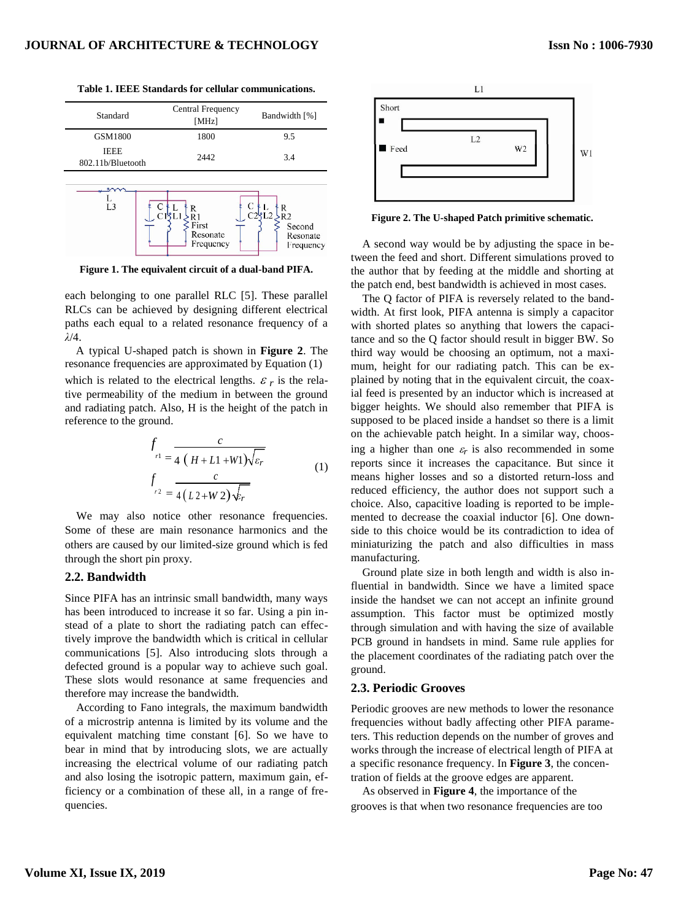| Standard                         | Central Frequency<br>[MHz]          | Bandwidth [%]                                          |
|----------------------------------|-------------------------------------|--------------------------------------------------------|
| GSM1800                          | 1800                                | 9.5                                                    |
| <b>IEEE</b><br>802.11b/Bluetooth | 2442                                | 3.4                                                    |
| L3                               | R<br>First<br>Resonate<br>Frequency | R<br>R <sub>2</sub><br>Second<br>Resonate<br>Frequency |

<span id="page-1-0"></span>**Table 1. IEEE Standards for cellular communications.**

**Figure 1. The equivalent circuit of a dual-band PIFA.**

each belonging to one parallel RLC [5]. These parallel RLCs can be achieved by designing different electrical paths each equal to a related resonance frequency of a *λ*/4.

A typical U-shaped patch is shown in **Figure 2**. The resonance frequencies are approximated by Equation (1) which is related to the electrical lengths.  $\varepsilon_r$  is the relative permeability of the medium in between the ground and radiating patch. Also, H is the height of the patch in reference to the ground.

$$
f_{r1} = \frac{c}{4 (H+L1+W1)\sqrt{\varepsilon_r}}
$$
  

$$
f_{r2} = \frac{c}{4 (L2+W2)\sqrt{\varepsilon_r}}
$$
 (1)

We may also notice other resonance frequencies. Some of these are main resonance harmonics and the others are caused by our limited-size ground which is fed through the short pin proxy.

#### **2.2. Bandwidth**

Since PIFA has an intrinsic small bandwidth, many ways has been introduced to increase it so far. Using a pin instead of a plate to short the radiating patch can effectively improve the bandwidth which is critical in cellular communications [5]. Also introducing slots through a defected ground is a popular way to achieve such goal. These slots would resonance at same frequencies and therefore may increase the bandwidth.

According to Fano integrals, the maximum bandwidth of a microstrip antenna is limited by its volume and the equivalent matching time constant [6]. So we have to bear in mind that by introducing slots, we are actually increasing the electrical volume of our radiating patch and also losing the isotropic pattern, maximum gain, efficiency or a combination of these all, in a range of frequencies.





**Figure 2. The U-shaped Patch primitive schematic.**

A second way would be by adjusting the space in between the feed and short. Different simulations proved to the author that by feeding at the middle and shorting at the patch end, best bandwidth is achieved in most cases.

The Q factor of PIFA is reversely related to the bandwidth. At first look, PIFA antenna is simply a capacitor with shorted plates so anything that lowers the capacitance and so the Q factor should result in bigger BW. So third way would be choosing an optimum, not a maximum, height for our radiating patch. This can be explained by noting that in the equivalent circuit, the coaxial feed is presented by an inductor which is increased at bigger heights. We should also remember that PIFA is supposed to be placed inside a handset so there is a limit on the achievable patch height. In a similar way, choosing a higher than one  $\varepsilon_r$  is also recommended in some reports since it increases the capacitance. But since it means higher losses and so a distorted return-loss and reduced efficiency, the author does not support such a choice. Also, capacitive loading is reported to be implemented to decrease the coaxial inductor [6]. One downside to this choice would be its contradiction to idea of miniaturizing the patch and also difficulties in mass manufacturing.

Ground plate size in both length and width is also influential in bandwidth. Since we have a limited space inside the handset we can not accept an infinite ground assumption. This factor must be optimized mostly through simulation and with having the size of available PCB ground in handsets in mind. Same rule applies for the placement coordinates of the radiating patch over the ground.

#### **2.3. Periodic Grooves**

Periodic grooves are new methods to lower the resonance frequencies without badly affecting other PIFA parameters. This reduction depends on the number of groves and works through the increase of electrical length of PIFA at a specific resonance frequency. In **Figure 3**, the concentration of fields at the groove edges are apparent.

As observed in **Figure 4**, the importance of the grooves is that when two resonance frequencies are too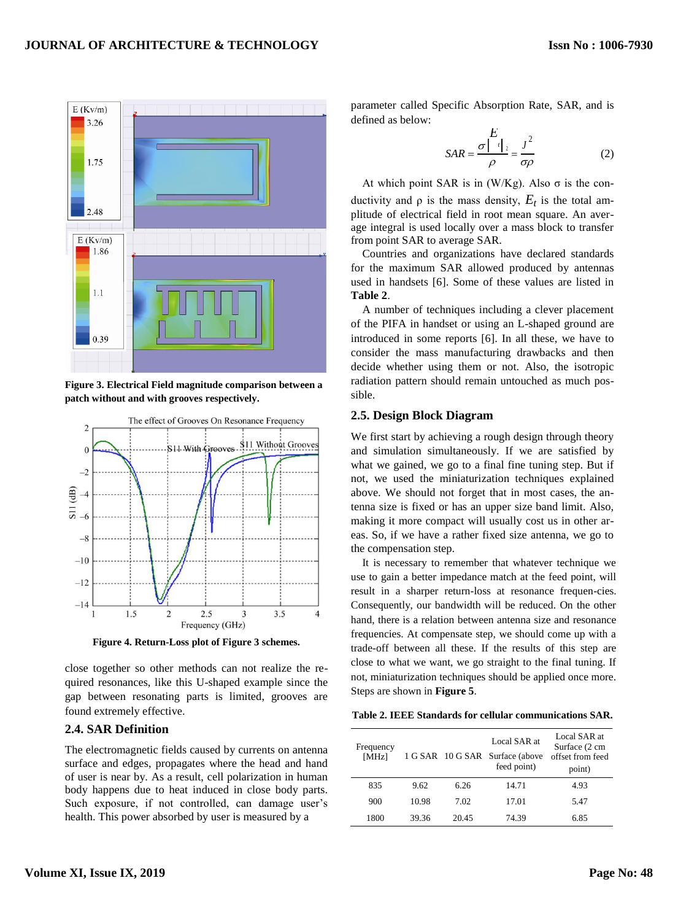

**Figure 3. Electrical Field magnitude comparison between a patch without and with grooves respectively.**



**Figure 4. Return-Loss plot of Figure 3 schemes.**

close together so other methods can not realize the required resonances, like this U-shaped example since the gap between resonating parts is limited, grooves are found extremely effective.

#### **2.4. SAR Definition**

The electromagnetic fields caused by currents on antenna surface and edges, propagates where the head and hand of user is near by. As a result, cell polarization in human body happens due to heat induced in close body parts. Such exposure, if not controlled, can damage user's health. This power absorbed by user is measured by a

parameter called Specific Absorption Rate, SAR, and is defined as below:

$$
SAR = \frac{\sigma \begin{vmatrix} E \\ i \end{vmatrix}_2}{\rho} = \frac{J^2}{\sigma \rho}
$$
 (2)

At which point SAR is in  $(W/Kg)$ . Also σ is the conductivity and  $\rho$  is the mass density,  $E_t$  is the total amplitude of electrical field in root mean square. An average integral is used locally over a mass block to transfer from point SAR to average SAR.

Countries and organizations have declared standards for the maximum SAR allowed produced by antennas used in handsets [6]. Some of these values are listed in **Table 2**.

A number of techniques including a clever placement of the PIFA in handset or using an L-shaped ground are introduced in some reports [6]. In all these, we have to consider the mass manufacturing drawbacks and then decide whether using them or not. Also, the isotropic radiation pattern should remain untouched as much possible.

#### **2.5. Design Block Diagram**

We first start by achieving a rough design through theory and simulation simultaneously. If we are satisfied by what we gained, we go to a final fine tuning step. But if not, we used the miniaturization techniques explained above. We should not forget that in most cases, the antenna size is fixed or has an upper size band limit. Also, making it more compact will usually cost us in other areas. So, if we have a rather fixed size antenna, we go to the compensation step.

It is necessary to remember that whatever technique we use to gain a better impedance match at the feed point, will result in a sharper return-loss at resonance frequen-cies. Consequently, our bandwidth will be reduced. On the other hand, there is a relation between antenna size and resonance frequencies. At compensate step, we should come up with a trade-off between all these. If the results of this step are close to what we want, we go straight to the final tuning. If not, miniaturization techniques should be applied once more. Steps are shown in **Figure 5**.

**Table 2. IEEE Standards for cellular communications SAR.**

| Frequency<br>[MHz] |       |       | Local SAR at<br>1 G SAR 10 G SAR Surface (above<br>feed point) | Local SAR at<br>Surface (2 cm<br>offset from feed<br>point) |
|--------------------|-------|-------|----------------------------------------------------------------|-------------------------------------------------------------|
| 835                | 9.62  | 6.26  | 14.71                                                          | 4.93                                                        |
| 900                | 10.98 | 7.02  | 17.01                                                          | 5.47                                                        |
| 1800               | 39.36 | 20.45 | 74.39                                                          | 6.85                                                        |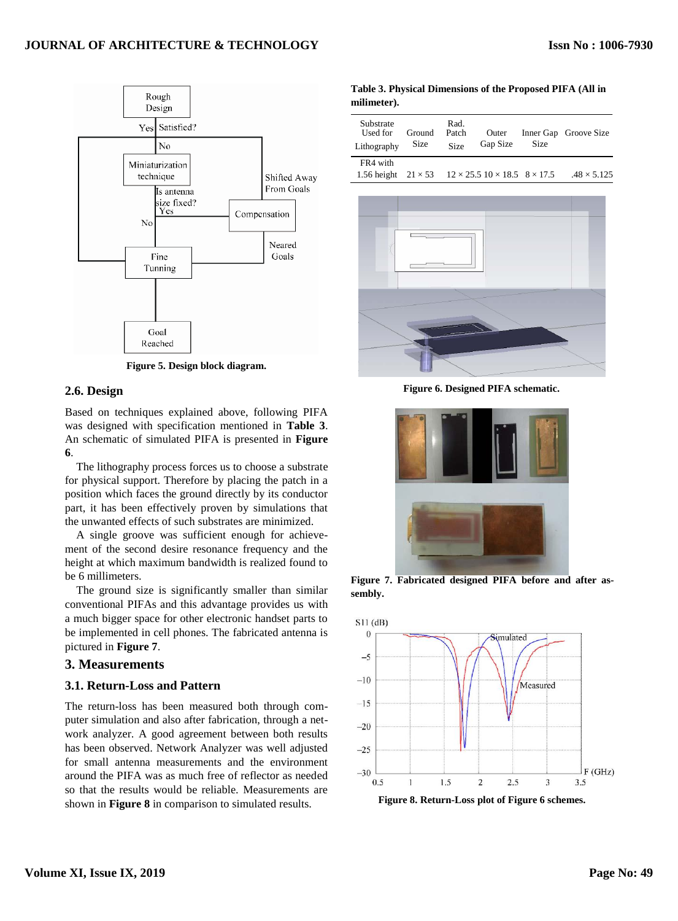

**Figure 5. Design block diagram.**

#### **2.6. Design**

Based on techniques explained above, following PIFA was designed with specification mentioned in **Table 3**. An schematic of simulated PIFA is presented in **Figure 6**.

The lithography process forces us to choose a substrate for physical support. Therefore by placing the patch in a position which faces the ground directly by its conductor part, it has been effectively proven by simulations that the unwanted effects of such substrates are minimized.

A single groove was sufficient enough for achievement of the second desire resonance frequency and the height at which maximum bandwidth is realized found to be 6 millimeters.

The ground size is significantly smaller than similar conventional PIFAs and this advantage provides us with a much bigger space for other electronic handset parts to be implemented in cell phones. The fabricated antenna is pictured in **Figure 7**.

# **3. Measurements**

#### **3.1. Return-Loss and Pattern**

The return-loss has been measured both through computer simulation and also after fabrication, through a network analyzer. A good agreement between both results has been observed. Network Analyzer was well adjusted for small antenna measurements and the environment around the PIFA was as much free of reflector as needed so that the results would be reliable. Measurements are shown in **Figure 8** in comparison to simulated results.

**Table 3. Physical Dimensions of the Proposed PIFA (All in milimeter).**

| Substrate<br>Used for<br>Lithography                                                     | Ground<br>Size | Rad.<br>Patch<br><b>Size</b> | Outer<br>Gap Size | Size | Inner Gap Groove Size |
|------------------------------------------------------------------------------------------|----------------|------------------------------|-------------------|------|-----------------------|
| FR4 with<br>1.56 height $21 \times 53$ $12 \times 25.5$ $10 \times 18.5$ $8 \times 17.5$ |                |                              |                   |      | $.48 \times 5.125$    |



**Figure 6. Designed PIFA schematic.**



**Figure 7. Fabricated designed PIFA before and after assembly.**



**Figure 8. Return-Loss plot of Figure 6 schemes.**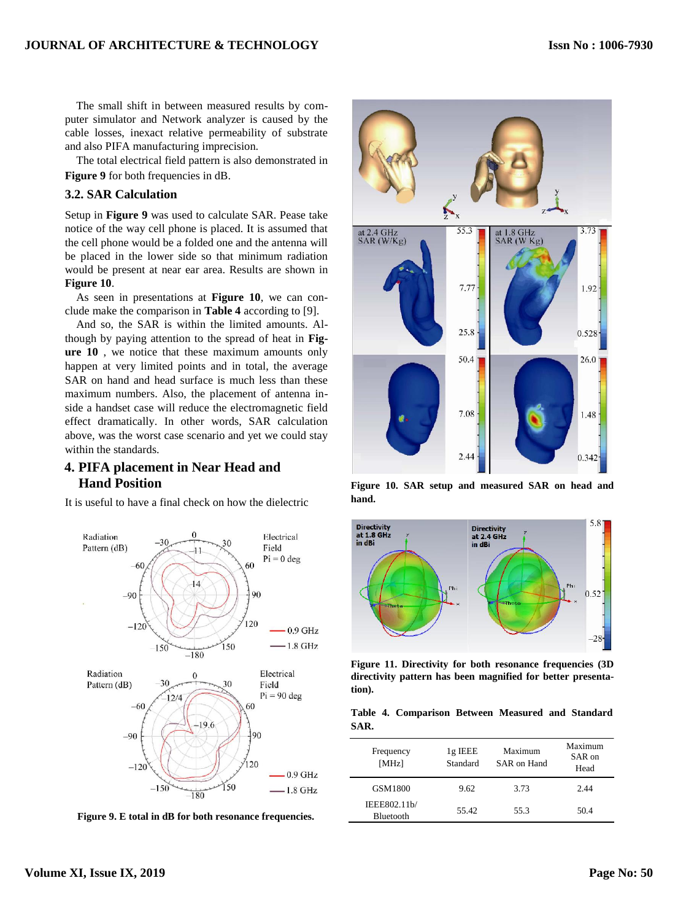The small shift in between measured results by computer simulator and Network analyzer is caused by the cable losses, inexact relative permeability of substrate and also PIFA manufacturing imprecision.

The total electrical field pattern is also demonstrated in **Figure 9** for both frequencies in dB.

#### **3.2. SAR Calculation**

Setup in **Figure 9** was used to calculate SAR. Pease take notice of the way cell phone is placed. It is assumed that the cell phone would be a folded one and the antenna will be placed in the lower side so that minimum radiation would be present at near ear area. Results are shown in **Figure 10**.

As seen in presentations at **Figure 10**, we can conclude make the comparison in **Table 4** according to [9].

And so, the SAR is within the limited amounts. Although by paying attention to the spread of heat in **Figure 10** , we notice that these maximum amounts only happen at very limited points and in total, the average SAR on hand and head surface is much less than these maximum numbers. Also, the placement of antenna inside a handset case will reduce the electromagnetic field effect dramatically. In other words, SAR calculation above, was the worst case scenario and yet we could stay within the standards.

# **4. PIFA placement in Near Head and Hand Position**

It is useful to have a final check on how the dielectric



**Figure 9. E total in dB for both resonance frequencies.**



**Figure 10. SAR setup and measured SAR on head and hand.**



**Figure 11. Directivity for both resonance frequencies (3D directivity pattern has been magnified for better presentation).**

|      | Table 4. Comparison Between Measured and Standard |  |  |
|------|---------------------------------------------------|--|--|
| SAR. |                                                   |  |  |

| Frequency<br>[MHz]               | $1g$ IEEE<br>Standard | Maximum<br>SAR on Hand | Maximum<br>SAR on<br>Head |
|----------------------------------|-----------------------|------------------------|---------------------------|
| GSM1800                          | 9.62                  | 3.73                   | 2.44                      |
| IEEE802.11b/<br><b>Bluetooth</b> | 55.42                 | 55.3                   | 50.4                      |